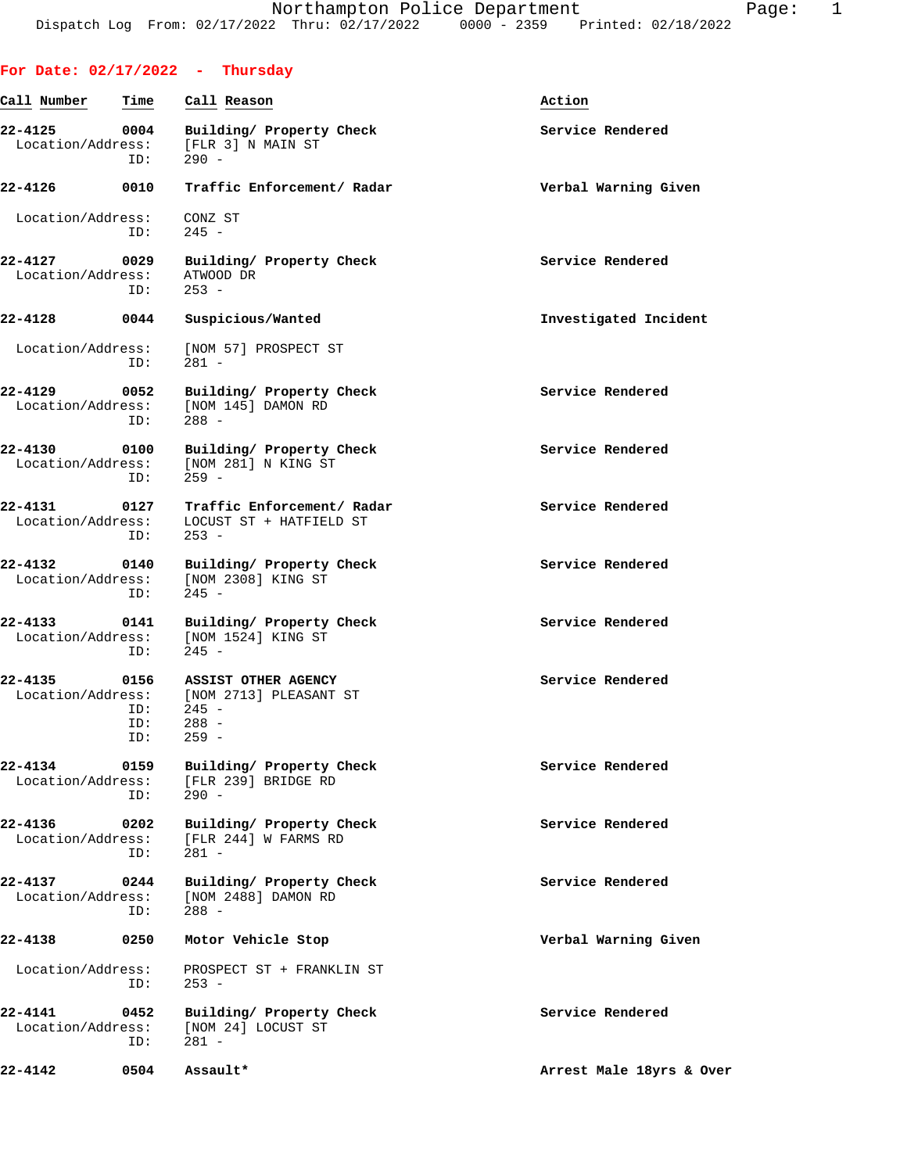|                                  |                           | For Date: $02/17/2022 - Thursday$                                              |                          |
|----------------------------------|---------------------------|--------------------------------------------------------------------------------|--------------------------|
| Call Number                      | Time                      | Call Reason                                                                    | Action                   |
| 22-4125<br>Location/Address:     | 0004<br>ID:               | Building/ Property Check<br>[FLR 3] N MAIN ST<br>$290 -$                       | Service Rendered         |
| 22-4126                          | 0010                      | Traffic Enforcement/ Radar                                                     | Verbal Warning Given     |
| Location/Address:                | ID:                       | CONZ ST<br>$245 -$                                                             |                          |
| $22 - 4127$<br>Location/Address: | 0029<br>ID:               | Building/ Property Check<br>ATWOOD DR<br>$253 -$                               | Service Rendered         |
| 22-4128                          | 0044                      | Suspicious/Wanted                                                              | Investigated Incident    |
| Location/Address:                | ID:                       | [NOM 57] PROSPECT ST<br>$281 -$                                                |                          |
| 22-4129<br>Location/Address:     | 0052<br>ID:               | Building/ Property Check<br>[NOM 145] DAMON RD<br>$288 -$                      | Service Rendered         |
| 22-4130<br>Location/Address:     | 0100<br>ID:               | Building/ Property Check<br>[NOM 281] N KING ST<br>$259 -$                     | Service Rendered         |
| 22-4131<br>Location/Address:     | 0127<br>ID:               | Traffic Enforcement/ Radar<br>LOCUST ST + HATFIELD ST<br>$253 -$               | Service Rendered         |
| 22-4132<br>Location/Address:     | 0140<br>ID:               | Building/ Property Check<br>[NOM 2308] KING ST<br>$245 -$                      | Service Rendered         |
| 22-4133<br>Location/Address:     | 0141<br>ID:               | Building/ Property Check<br>[NOM 1524] KING ST<br>$245 -$                      | Service Rendered         |
| 22-4135<br>Location/Address:     | 0156<br>ID:<br>ID:<br>ID: | ASSIST OTHER AGENCY<br>[NOM 2713] PLEASANT ST<br>$245 -$<br>$288 -$<br>$259 -$ | Service Rendered         |
| 22-4134<br>Location/Address:     | 0159<br>ID:               | Building/ Property Check<br>[FLR 239] BRIDGE RD<br>$290 -$                     | Service Rendered         |
| 22-4136<br>Location/Address:     | 0202<br>ID:               | Building/ Property Check<br>[FLR 244] W FARMS RD<br>$281 -$                    | Service Rendered         |
| 22-4137<br>Location/Address:     | 0244<br>ID:               | Building/ Property Check<br>[NOM 2488] DAMON RD<br>$288 -$                     | Service Rendered         |
| 22-4138                          | 0250                      | Motor Vehicle Stop                                                             | Verbal Warning Given     |
| Location/Address:                | ID:                       | PROSPECT ST + FRANKLIN ST<br>$253 -$                                           |                          |
| 22-4141<br>Location/Address:     | 0452<br>ID:               | Building/ Property Check<br>[NOM 24] LOCUST ST<br>$281 -$                      | Service Rendered         |
| 22-4142                          | 0504                      | Assault*                                                                       | Arrest Male 18yrs & Over |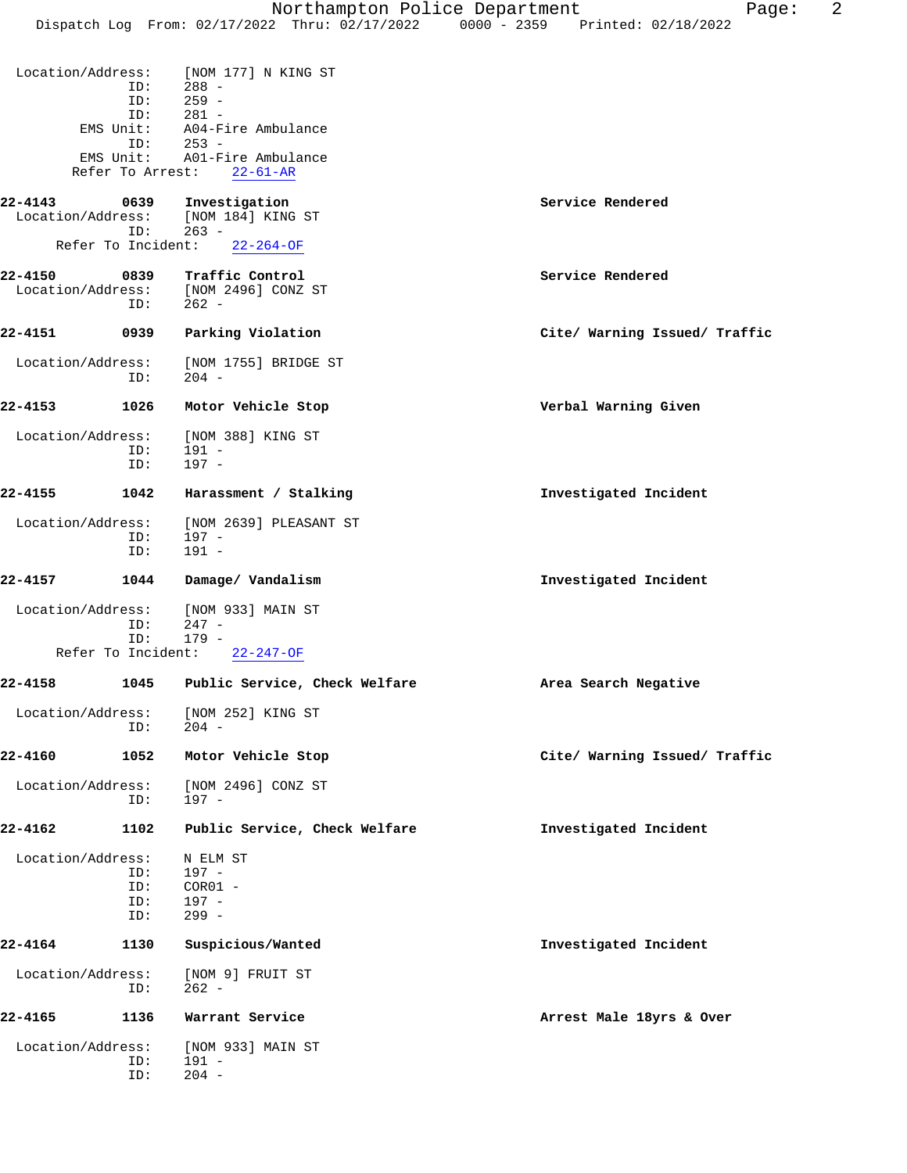|                              | ID:                      | Location/Address: [NOM 177] N KING ST<br>$288 -$<br>ID: 259 -<br>ID: 281 - |                               |
|------------------------------|--------------------------|----------------------------------------------------------------------------|-------------------------------|
|                              | EMS Unit:                | A04-Fire Ambulance                                                         |                               |
|                              | ID:<br>EMS Unit:         | $253 -$<br>A01-Fire Ambulance                                              |                               |
|                              |                          | Refer To Arrest: 22-61-AR                                                  |                               |
| 22-4143<br>Location/Address: | 0639<br>ID:              | Investigation<br>[NOM 184] KING ST<br>$263 -$                              | Service Rendered              |
|                              |                          | Refer To Incident: 22-264-OF                                               |                               |
| 22-4150                      | 0839<br>ID:              | Traffic Control<br>Location/Address: [NOM 2496] CONZ ST<br>$262 -$         | Service Rendered              |
| 22-4151                      | 0939                     | Parking Violation                                                          | Cite/ Warning Issued/ Traffic |
| Location/Address:            | ID:                      | [NOM 1755] BRIDGE ST<br>204 -                                              |                               |
| 22-4153                      | 1026                     | Motor Vehicle Stop                                                         | Verbal Warning Given          |
| Location/Address:            | ID:<br>ID:               | [NOM 388] KING ST<br>191 -<br>197 -                                        |                               |
| 22-4155                      | 1042                     | Harassment / Stalking                                                      | Investigated Incident         |
| Location/Address:            | ID:<br>ID:               | [NOM 2639] PLEASANT ST<br>197 -<br>$191 -$                                 |                               |
| 22-4157                      | 1044                     | Damage/ Vandalism                                                          | Investigated Incident         |
| Location/Address:            | ID:<br>ID:               | [NOM 933] MAIN ST<br>247 -<br>$179 -$                                      |                               |
|                              | Refer To Incident:       | 22-247-OF                                                                  |                               |
| 22-4158                      | 1045                     | Public Service, Check Welfare                                              | Area Search Negative          |
| Location/Address:            | ID:                      | [NOM 252] KING ST<br>204 -                                                 |                               |
| 22-4160                      | 1052                     | Motor Vehicle Stop                                                         | Cite/ Warning Issued/ Traffic |
| Location/Address:            | ID:                      | [NOM 2496] CONZ ST<br>197 -                                                |                               |
| 22-4162                      | 1102                     | Public Service, Check Welfare                                              | Investigated Incident         |
| Location/Address:            | ID:<br>ID:<br>ID:<br>ID: | N ELM ST<br>197 -<br>$COR01 -$<br>$197 -$<br>$299 -$                       |                               |
| 22-4164                      | 1130                     | Suspicious/Wanted                                                          | Investigated Incident         |
| Location/Address:            | ID:                      | [NOM 9] FRUIT ST<br>$262 -$                                                |                               |
| 22-4165                      | 1136                     | Warrant Service                                                            | Arrest Male 18yrs & Over      |
| Location/Address:            | ID:<br>ID:               | [NOM 933] MAIN ST<br>$191 -$<br>$204 -$                                    |                               |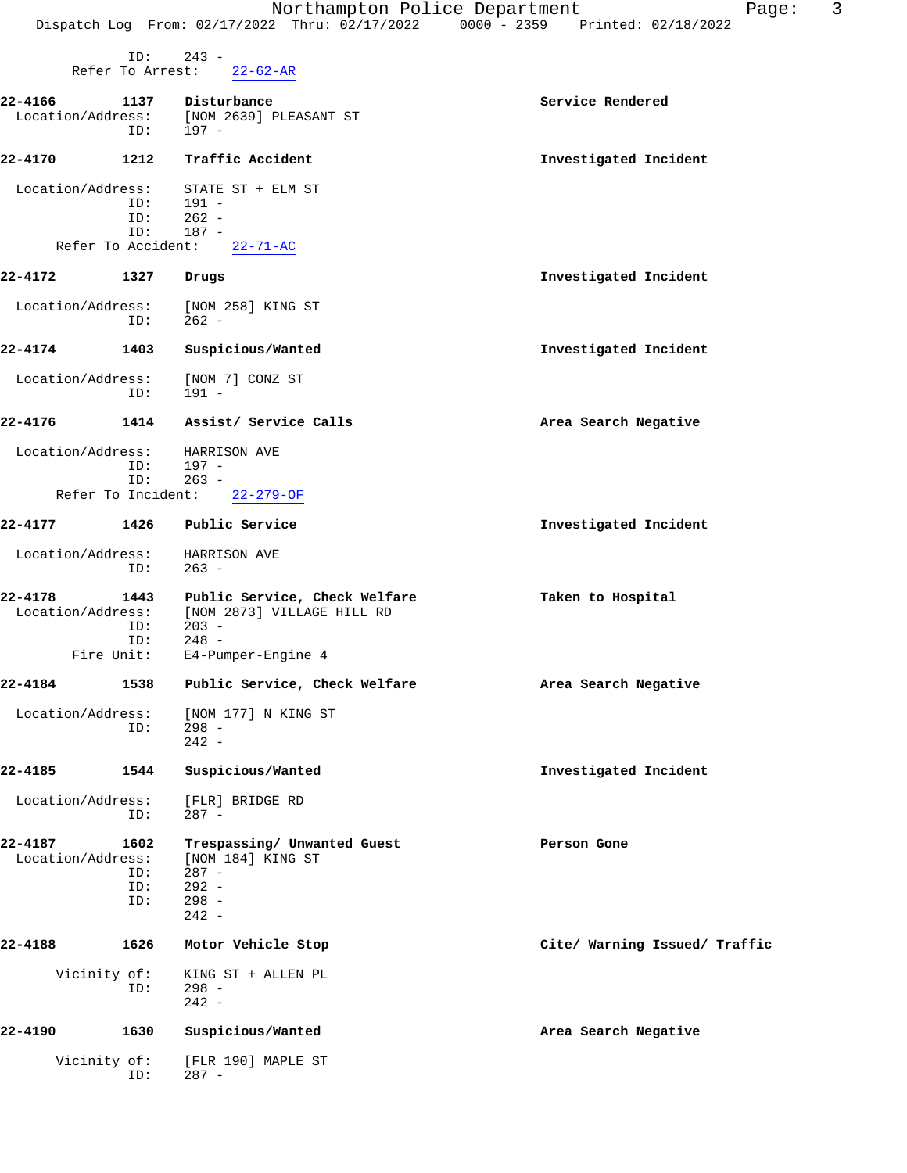|                              |                           | Northampton Police Department<br>Dispatch Log From: 02/17/2022 Thru: 02/17/2022 0000 - 2359 Printed: 02/18/2022 | 3<br>Page:                    |
|------------------------------|---------------------------|-----------------------------------------------------------------------------------------------------------------|-------------------------------|
|                              | ID:<br>Refer To Arrest:   | $243 -$<br>$22 - 62 - AR$                                                                                       |                               |
|                              |                           |                                                                                                                 |                               |
| 22-4166<br>Location/Address: | 1137<br>ID:               | Disturbance<br>[NOM 2639] PLEASANT ST<br>$197 -$                                                                | Service Rendered              |
| 22-4170                      | 1212                      | Traffic Accident                                                                                                | Investigated Incident         |
| Location/Address:            |                           | STATE ST + ELM ST                                                                                               |                               |
|                              | ID:                       | 191 -                                                                                                           |                               |
|                              | ID:                       | $262 -$                                                                                                         |                               |
|                              | ID:                       | $187 -$                                                                                                         |                               |
| Refer To Accident:           |                           | $22 - 71 - AC$                                                                                                  |                               |
| 22-4172                      | 1327                      | Drugs                                                                                                           | Investigated Incident         |
| Location/Address:            | ID:                       | [NOM 258] KING ST<br>$262 -$                                                                                    |                               |
| 22-4174                      | 1403                      | Suspicious/Wanted                                                                                               | Investigated Incident         |
| Location/Address:            | ID:                       | [NOM 7] CONZ ST<br>$191 -$                                                                                      |                               |
| 22-4176                      | 1414                      | Assist/ Service Calls                                                                                           | Area Search Negative          |
| Location/Address:            | ID:<br>ID:                | HARRISON AVE<br>$197 -$<br>$263 -$                                                                              |                               |
| Refer To Incident:           |                           | $22 - 279 - OF$                                                                                                 |                               |
| 22-4177                      | 1426                      | Public Service                                                                                                  | Investigated Incident         |
| Location/Address:            | ID:                       | HARRISON AVE<br>$263 -$                                                                                         |                               |
| 22-4178<br>Location/Address: | 1443<br>ID:<br>ID:        | Public Service, Check Welfare<br>[NOM 2873] VILLAGE HILL RD<br>$203 -$<br>$248 -$                               | Taken to Hospital             |
| Fire Unit:                   |                           | E4-Pumper-Engine 4                                                                                              |                               |
| 22-4184                      | 1538                      | Public Service, Check Welfare                                                                                   | Area Search Negative          |
| Location/Address:            | ID:                       | [NOM 177] N KING ST<br>$298 -$<br>$242 -$                                                                       |                               |
| 22-4185                      | 1544                      | Suspicious/Wanted                                                                                               | Investigated Incident         |
| Location/Address:            | ID:                       | [FLR] BRIDGE RD<br>$287 -$                                                                                      |                               |
| 22-4187<br>Location/Address: | 1602<br>ID:<br>ID:<br>ID: | Trespassing/ Unwanted Guest<br>[NOM 184] KING ST<br>$287 -$<br>$292 -$<br>$298 -$<br>$242 -$                    | Person Gone                   |
| 22-4188                      | 1626                      | Motor Vehicle Stop                                                                                              | Cite/ Warning Issued/ Traffic |
| Vicinity of:                 | ID:                       | KING ST + ALLEN PL<br>$298 -$<br>$242 -$                                                                        |                               |
| 22-4190                      | 1630                      | Suspicious/Wanted                                                                                               | Area Search Negative          |
| Vicinity of:                 | ID:                       | [FLR 190] MAPLE ST<br>$287 -$                                                                                   |                               |